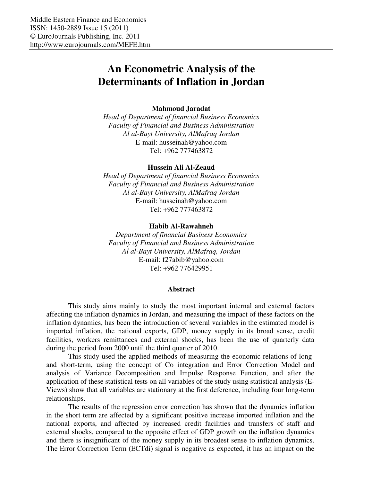# **An Econometric Analysis of the Determinants of Inflation in Jordan**

## **Mahmoud Jaradat**

*Head of Department of financial Business Economics Faculty of Financial and Business Administration Al al-Bayt University, AlMafraq Jordan*  E-mail: husseinah@yahoo.com Tel: +962 777463872

### **Hussein Ali Al-Zeaud**

*Head of Department of financial Business Economics Faculty of Financial and Business Administration Al al-Bayt University, AlMafraq Jordan*  E-mail: husseinah@yahoo.com Tel: +962 777463872

### **Habib Al-Rawahneh**

*Department of financial Business Economics Faculty of Financial and Business Administration Al al-Bayt University, AlMafraq, Jordan*  E-mail: f27abib@yahoo.com Tel: +962 776429951

#### **Abstract**

This study aims mainly to study the most important internal and external factors affecting the inflation dynamics in Jordan, and measuring the impact of these factors on the inflation dynamics, has been the introduction of several variables in the estimated model is imported inflation, the national exports, GDP, money supply in its broad sense, credit facilities, workers remittances and external shocks, has been the use of quarterly data during the period from 2000 until the third quarter of 2010.

This study used the applied methods of measuring the economic relations of longand short-term, using the concept of Co integration and Error Correction Model and analysis of Variance Decomposition and Impulse Response Function, and after the application of these statistical tests on all variables of the study using statistical analysis (E-Views) show that all variables are stationary at the first deference, including four long-term relationships.

The results of the regression error correction has shown that the dynamics inflation in the short term are affected by a significant positive increase imported inflation and the national exports, and affected by increased credit facilities and transfers of staff and external shocks, compared to the opposite effect of GDP growth on the inflation dynamics and there is insignificant of the money supply in its broadest sense to inflation dynamics. The Error Correction Term (ECTdi) signal is negative as expected, it has an impact on the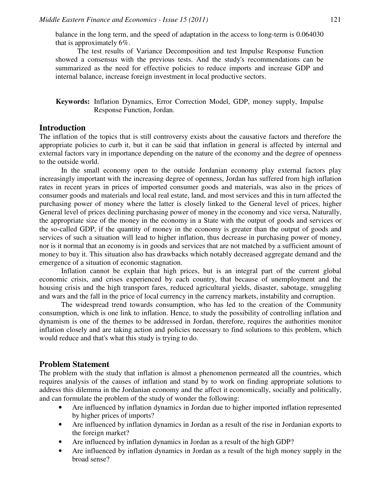balance in the long term, and the speed of adaptation in the access to long-term is 0.064030 that is approximately 6%.

The test results of Variance Decomposition and test Impulse Response Function showed a consensus with the previous tests. And the study's recommendations can be summarized as the need for effective policies to reduce imports and increase GDP and internal balance, increase foreign investment in local productive sectors.

**Keywords:** Inflation Dynamics, Error Correction Model, GDP, money supply, Impulse Response Function, Jordan.

# **Introduction**

The inflation of the topics that is still controversy exists about the causative factors and therefore the appropriate policies to curb it, but it can be said that inflation in general is affected by internal and external factors vary in importance depending on the nature of the economy and the degree of openness to the outside world.

In the small economy open to the outside Jordanian economy play external factors play increasingly important with the increasing degree of openness, Jordan has suffered from high inflation rates in recent years in prices of imported consumer goods and materials, was also in the prices of consumer goods and materials and local real estate, land, and most services and this in turn affected the purchasing power of money where the latter is closely linked to the General level of prices, higher General level of prices declining purchasing power of money in the economy and vice versa, Naturally, the appropriate size of the money in the economy in a State with the output of goods and services or the so-called GDP, if the quantity of money in the economy is greater than the output of goods and services of such a situation will lead to higher inflation, thus decrease in purchasing power of money, nor is it normal that an economy is in goods and services that are not matched by a sufficient amount of money to buy it. This situation also has drawbacks which notably decreased aggregate demand and the emergence of a situation of economic stagnation.

Inflation cannot be explain that high prices, but is an integral part of the current global economic crisis, and crises experienced by each country, that because of unemployment and the housing crisis and the high transport fares, reduced agricultural yields, disaster, sabotage, smuggling and wars and the fall in the price of local currency in the currency markets, instability and corruption.

The widespread trend towards consumption, who has led to the creation of the Community consumption, which is one link to inflation. Hence, to study the possibility of controlling inflation and dynamism is one of the themes to be addressed in Jordan, therefore, requires the authorities monitor inflation closely and are taking action and policies necessary to find solutions to this problem, which would reduce and that's what this study is trying to do.

# **Problem Statement**

The problem with the study that inflation is almost a phenomenon permeated all the countries, which requires analysis of the causes of inflation and stand by to work on finding appropriate solutions to address this dilemma in the Jordanian economy and the affect it economically, socially and politically, and can formulate the problem of the study of wonder the following:

- Are influenced by inflation dynamics in Jordan due to higher imported inflation represented by higher prices of imports?
- Are influenced by inflation dynamics in Jordan as a result of the rise in Jordanian exports to the foreign market?
- Are influenced by inflation dynamics in Jordan as a result of the high GDP?
- Are influenced by inflation dynamics in Jordan as a result of the high money supply in the broad sense?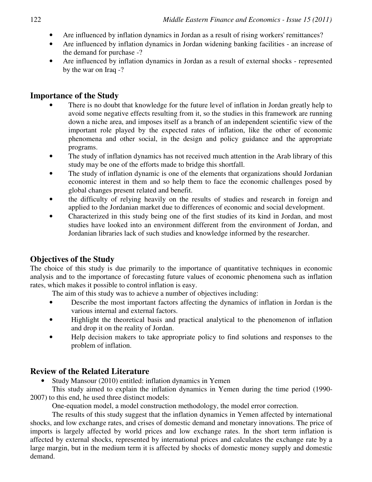- Are influenced by inflation dynamics in Jordan as a result of rising workers' remittances?
- Are influenced by inflation dynamics in Jordan widening banking facilities an increase of the demand for purchase -?
- Are influenced by inflation dynamics in Jordan as a result of external shocks represented by the war on Iraq -?

# **Importance of the Study**

- There is no doubt that knowledge for the future level of inflation in Jordan greatly help to avoid some negative effects resulting from it, so the studies in this framework are running down a niche area, and imposes itself as a branch of an independent scientific view of the important role played by the expected rates of inflation, like the other of economic phenomena and other social, in the design and policy guidance and the appropriate programs.
- The study of inflation dynamics has not received much attention in the Arab library of this study may be one of the efforts made to bridge this shortfall.
- The study of inflation dynamic is one of the elements that organizations should Jordanian economic interest in them and so help them to face the economic challenges posed by global changes present related and benefit.
- the difficulty of relying heavily on the results of studies and research in foreign and applied to the Jordanian market due to differences of economic and social development.
- Characterized in this study being one of the first studies of its kind in Jordan, and most studies have looked into an environment different from the environment of Jordan, and Jordanian libraries lack of such studies and knowledge informed by the researcher.

# **Objectives of the Study**

The choice of this study is due primarily to the importance of quantitative techniques in economic analysis and to the importance of forecasting future values of economic phenomena such as inflation rates, which makes it possible to control inflation is easy.

The aim of this study was to achieve a number of objectives including:

- Describe the most important factors affecting the dynamics of inflation in Jordan is the various internal and external factors.
- Highlight the theoretical basis and practical analytical to the phenomenon of inflation and drop it on the reality of Jordan.
- Help decision makers to take appropriate policy to find solutions and responses to the problem of inflation.

# **Review of the Related Literature**

• Study Mansour (2010) entitled: inflation dynamics in Yemen

This study aimed to explain the inflation dynamics in Yemen during the time period (1990- 2007) to this end, he used three distinct models:

One-equation model, a model construction methodology, the model error correction.

The results of this study suggest that the inflation dynamics in Yemen affected by international shocks, and low exchange rates, and crises of domestic demand and monetary innovations. The price of imports is largely affected by world prices and low exchange rates. In the short term inflation is affected by external shocks, represented by international prices and calculates the exchange rate by a large margin, but in the medium term it is affected by shocks of domestic money supply and domestic demand.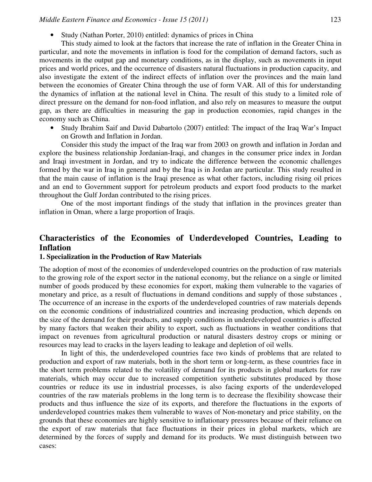• Study (Nathan Porter, 2010) entitled: dynamics of prices in China

This study aimed to look at the factors that increase the rate of inflation in the Greater China in particular, and note the movements in inflation is food for the compilation of demand factors, such as movements in the output gap and monetary conditions, as in the display, such as movements in input prices and world prices, and the occurrence of disasters natural fluctuations in production capacity, and also investigate the extent of the indirect effects of inflation over the provinces and the main land between the economies of Greater China through the use of form VAR. All of this for understanding the dynamics of inflation at the national level in China. The result of this study to a limited role of direct pressure on the demand for non-food inflation, and also rely on measures to measure the output gap, as there are difficulties in measuring the gap in production economies, rapid changes in the economy such as China.

• Study Ibrahim Saif and David Dabartolo (2007) entitled: The impact of the Iraq War's Impact on Growth and Inflation in Jordan.

Consider this study the impact of the Iraq war from 2003 on growth and inflation in Jordan and explore the business relationship Jordanian-Iraqi, and changes in the consumer price index in Jordan and Iraqi investment in Jordan, and try to indicate the difference between the economic challenges formed by the war in Iraq in general and by the Iraq is in Jordan are particular. This study resulted in that the main cause of inflation is the Iraqi presence as what other factors, including rising oil prices and an end to Government support for petroleum products and export food products to the market throughout the Gulf Jordan contributed to the rising prices.

One of the most important findings of the study that inflation in the provinces greater than inflation in Oman, where a large proportion of Iraqis.

# **Characteristics of the Economies of Underdeveloped Countries, Leading to Inflation**

### **1. Specialization in the Production of Raw Materials**

The adoption of most of the economies of underdeveloped countries on the production of raw materials to the growing role of the export sector in the national economy, but the reliance on a single or limited number of goods produced by these economies for export, making them vulnerable to the vagaries of monetary and price, as a result of fluctuations in demand conditions and supply of those substances , The occurrence of an increase in the exports of the underdeveloped countries of raw materials depends on the economic conditions of industrialized countries and increasing production, which depends on the size of the demand for their products, and supply conditions in underdeveloped countries is affected by many factors that weaken their ability to export, such as fluctuations in weather conditions that impact on revenues from agricultural production or natural disasters destroy crops or mining or resources may lead to cracks in the layers leading to leakage and depletion of oil wells.

In light of this, the underdeveloped countries face two kinds of problems that are related to production and export of raw materials, both in the short term or long-term, as these countries face in the short term problems related to the volatility of demand for its products in global markets for raw materials, which may occur due to increased competition synthetic substitutes produced by those countries or reduce its use in industrial processes, is also facing exports of the underdeveloped countries of the raw materials problems in the long term is to decrease the flexibility showcase their products and thus influence the size of its exports, and therefore the fluctuations in the exports of underdeveloped countries makes them vulnerable to waves of Non-monetary and price stability, on the grounds that these economies are highly sensitive to inflationary pressures because of their reliance on the export of raw materials that face fluctuations in their prices in global markets, which are determined by the forces of supply and demand for its products. We must distinguish between two cases: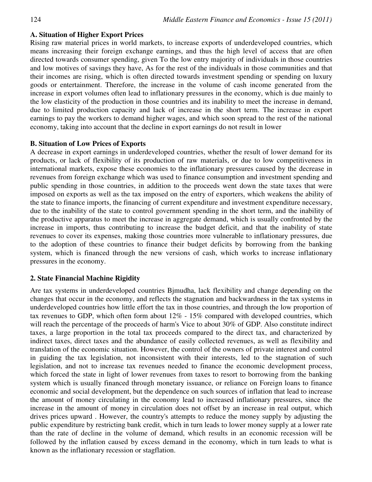## **A. Situation of Higher Export Prices**

Rising raw material prices in world markets, to increase exports of underdeveloped countries, which means increasing their foreign exchange earnings, and thus the high level of access that are often directed towards consumer spending, given To the low entry majority of individuals in those countries and low motives of savings they have, As for the rest of the individuals in those communities and that their incomes are rising, which is often directed towards investment spending or spending on luxury goods or entertainment. Therefore, the increase in the volume of cash income generated from the increase in export volumes often lead to inflationary pressures in the economy, which is due mainly to the low elasticity of the production in those countries and its inability to meet the increase in demand, due to limited production capacity and lack of increase in the short term. The increase in export earnings to pay the workers to demand higher wages, and which soon spread to the rest of the national economy, taking into account that the decline in export earnings do not result in lower

## **B. Situation of Low Prices of Exports**

A decrease in export earnings in underdeveloped countries, whether the result of lower demand for its products, or lack of flexibility of its production of raw materials, or due to low competitiveness in international markets, expose these economies to the inflationary pressures caused by the decrease in revenues from foreign exchange which was used to finance consumption and investment spending and public spending in those countries, in addition to the proceeds went down the state taxes that were imposed on exports as well as the tax imposed on the entry of exporters, which weakens the ability of the state to finance imports, the financing of current expenditure and investment expenditure necessary, due to the inability of the state to control government spending in the short term, and the inability of the productive apparatus to meet the increase in aggregate demand, which is usually confronted by the increase in imports, thus contributing to increase the budget deficit, and that the inability of state revenues to cover its expenses, making those countries more vulnerable to inflationary pressures, due to the adoption of these countries to finance their budget deficits by borrowing from the banking system, which is financed through the new versions of cash, which works to increase inflationary pressures in the economy.

# **2. State Financial Machine Rigidity**

Are tax systems in underdeveloped countries Bjmudha, lack flexibility and change depending on the changes that occur in the economy, and reflects the stagnation and backwardness in the tax systems in underdeveloped countries how little effort the tax in those countries, and through the low proportion of tax revenues to GDP, which often form about 12% - 15% compared with developed countries, which will reach the percentage of the proceeds of harm's Vice to about 30% of GDP. Also constitute indirect taxes, a large proportion in the total tax proceeds compared to the direct tax, and characterized by indirect taxes, direct taxes and the abundance of easily collected revenues, as well as flexibility and translation of the economic situation. However, the control of the owners of private interest and control in guiding the tax legislation, not inconsistent with their interests, led to the stagnation of such legislation, and not to increase tax revenues needed to finance the economic development process, which forced the state in light of lower revenues from taxes to resort to borrowing from the banking system which is usually financed through monetary issuance, or reliance on Foreign loans to finance economic and social development, but the dependence on such sources of inflation that lead to increase the amount of money circulating in the economy lead to increased inflationary pressures, since the increase in the amount of money in circulation does not offset by an increase in real output, which drives prices upward . However, the country's attempts to reduce the money supply by adjusting the public expenditure by restricting bank credit, which in turn leads to lower money supply at a lower rate than the rate of decline in the volume of demand, which results in an economic recession will be followed by the inflation caused by excess demand in the economy, which in turn leads to what is known as the inflationary recession or stagflation.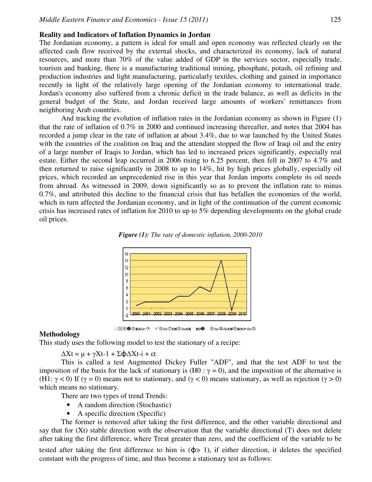## **Reality and Indicators of Inflation Dynamics in Jordan**

The Jordanian economy, a pattern is ideal for small and open economy was reflected clearly on the affected cash flow received by the external shocks, and characterized its economy, lack of natural resources, and more than 70% of the value added of GDP in the services sector, especially trade, tourism and banking, there is a manufacturing traditional mining, phosphate, potash, oil refining and production industries and light manufacturing, particularly textiles, clothing and gained in importance recently in light of the relatively large opening of the Jordanian economy to international trade. Jordan's economy also suffered from a chronic deficit in the trade balance, as well as deficits in the general budget of the State, and Jordan received large amounts of workers' remittances from neighboring Arab countries.

And tracking the evolution of inflation rates in the Jordanian economy as shown in Figure (1) that the rate of inflation of 0.7% in 2000 and continued increasing thereafter, and notes that 2004 has recorded a jump clear in the rate of inflation at about 3.4%, due to war launched by the United States with the countries of the coalition on Iraq and the attendant stopped the flow of Iraqi oil and the entry of a large number of Iraqis to Jordan, which has led to increased prices significantly, especially real estate. Either the second leap occurred in 2006 rising to 6.25 percent, then fell in 2007 to 4.7% and then returned to raise significantly in 2008 to up to 14%, hit by high prices globally, especially oil prices, which recorded an unprecedented rise in this year that Jordan imports complete its oil needs from abroad. As witnessed in 2009, down significantly so as to prevent the inflation rate to minus 0.7%, and attributed this decline to the financial crisis that has befallen the economies of the world, which in turn affected the Jordanian economy, and in light of the continuation of the current economic crisis has increased rates of inflation for 2010 to up to 5% depending developments on the global crude oil prices.





#### **Methodology**

This study uses the following model to test the stationary of a recipe:

 $\Delta Xt = \mu + \gamma Xt-1 + \Sigma \phi \Delta Xt-i + \varepsilon t$ 

This is called a test Augmented Dickey Fuller "ADF", and that the test ADF to test the imposition of the basis for the lack of stationary is (H0 :  $\gamma = 0$ ), and the imposition of the alternative is (H1:  $\gamma$  < 0) If ( $\gamma$  = 0) means not to stationary, and ( $\gamma$  < 0) means stationary, as well as rejection ( $\gamma$  > 0) which means no stationary.

There are two types of trend Trends:

- A random direction (Stochastic)
- A specific direction (Specific)

The former is removed after taking the first difference, and the other variable directional and say that for (Xt) stable direction with the observation that the variable directional (T) does not delete after taking the first difference, where Treat greater than zero, and the coefficient of the variable to be tested after taking the first difference to him is  $(\phi > 1)$ , if either direction, it deletes the specified

constant with the progress of time, and thus become a stationary test as follows: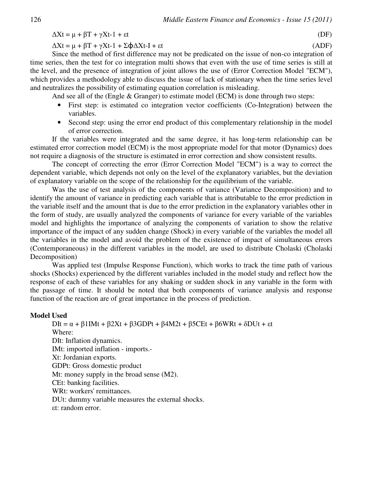$\Delta Xt = \mu + \beta T + \gamma Xt - 1 + \epsilon t$  (DF)

 $\Delta Xt = \mu + \beta T + \gamma Xt - 1 + \Sigma \phi \Delta Xt - I + \epsilon t$  (ADF)

Since the method of first difference may not be predicated on the issue of non-co integration of time series, then the test for co integration multi shows that even with the use of time series is still at the level, and the presence of integration of joint allows the use of (Error Correction Model "ECM"), which provides a methodology able to discuss the issue of lack of stationary when the time series level and neutralizes the possibility of estimating equation correlation is misleading.

And see all of the (Engle & Granger) to estimate model (ECM) is done through two steps:

- First step: is estimated co integration vector coefficients (Co-Integration) between the variables.
- Second step: using the error end product of this complementary relationship in the model of error correction.

If the variables were integrated and the same degree, it has long-term relationship can be estimated error correction model (ECM) is the most appropriate model for that motor (Dynamics) does not require a diagnosis of the structure is estimated in error correction and show consistent results.

The concept of correcting the error (Error Correction Model "ECM") is a way to correct the dependent variable, which depends not only on the level of the explanatory variables, but the deviation of explanatory variable on the scope of the relationship for the equilibrium of the variable.

Was the use of test analysis of the components of variance (Variance Decomposition) and to identify the amount of variance in predicting each variable that is attributable to the error prediction in the variable itself and the amount that is due to the error prediction in the explanatory variables other in the form of study, are usually analyzed the components of variance for every variable of the variables model and highlights the importance of analyzing the components of variation to show the relative importance of the impact of any sudden change (Shock) in every variable of the variables the model all the variables in the model and avoid the problem of the existence of impact of simultaneous errors (Contemporaneous) in the different variables in the model, are used to distribute Cholaski (Cholaski Decomposition)

Was applied test (Impulse Response Function), which works to track the time path of various shocks (Shocks) experienced by the different variables included in the model study and reflect how the response of each of these variables for any shaking or sudden shock in any variable in the form with the passage of time. It should be noted that both components of variance analysis and response function of the reaction are of great importance in the process of prediction.

## **Model Used**

DIt = α + β1IMt + β2Xt + β3GDPt + β4M2t + β5CEt + β6WRt + δDUt + εt Where: DIt: Inflation dynamics. IMt: imported inflation - imports.-Xt: Jordanian exports. GDPt: Gross domestic product Mt: money supply in the broad sense (M2). CEt: banking facilities. WRt: workers' remittances. DUt: dummy variable measures the external shocks. εt: random error.

$$
(\mathsf{DF})
$$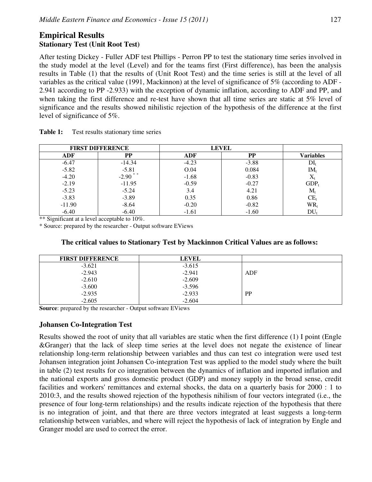# **Empirical Results Stationary Test (Unit Root Test)**

After testing Dickey - Fuller ADF test Phillips - Perron PP to test the stationary time series involved in the study model at the level (Level) and for the teams first (First difference), has been the analysis results in Table (1) that the results of (Unit Root Test) and the time series is still at the level of all variables as the critical value (1991, Mackinnon) at the level of significance of 5% (according to ADF - 2.941 according to PP -2.933) with the exception of dynamic inflation, according to ADF and PP, and when taking the first difference and re-test have shown that all time series are static at 5% level of significance and the results showed nihilistic rejection of the hypothesis of the difference at the first level of significance of 5%.

| <b>FIRST DIFFERENCE</b> |                       | <b>LEVEL</b> |         |                 |
|-------------------------|-----------------------|--------------|---------|-----------------|
| ADF                     | PP                    | <b>ADF</b>   | PP      | Variables       |
| $-6.47$                 | $-14.34$              | $-4.23$      | $-3.88$ | $DI_t$          |
| $-5.82$                 | $-5.81$               | O.04         | 0.084   | IM,             |
| $-4.20$                 | $-2.90$ <sup>**</sup> | $-1.68$      | $-0.83$ | $\Lambda_1$     |
| $-2.19$                 | $-11.95$              | $-0.59$      | $-0.27$ | $GDP_t$         |
| $-5.23$                 | $-5.24$               | 3.4          | 4.21    | $\rm M_{r}$     |
| $-3.83$                 | $-3.89$               | 0.35         | 0.86    | CE <sub>1</sub> |
| $-11.90$                | $-8.64$               | $-0.20$      | $-0.82$ | $WR_t$          |
| $-6.40$                 | $-6.40$               | $-1.61$      | $-1.60$ | DU              |

**Table 1:** Test results stationary time series

\*\* Significant at a level acceptable to 10%.

\* Source: prepared by the researcher - Output software EViews

| The critical values to Stationary Test by Mackinnon Critical Values are as follows: |  |  |  |
|-------------------------------------------------------------------------------------|--|--|--|
|                                                                                     |  |  |  |

| <b>FIRST DIFFERENCE</b> | <b>LEVEL</b> |           |
|-------------------------|--------------|-----------|
| $-3.621$                | $-3.615$     |           |
| $-2.943$                | $-2.941$     | ADF       |
| $-2.610$                | $-2.609$     |           |
| $-3.600$                | $-3.596$     |           |
| $-2.935$                | $-2.933$     | <b>PP</b> |
| $-2.605$                | $-2.604$     |           |

**Source**: prepared by the researcher - Output software EViews

# **Johansen Co-Integration Test**

Results showed the root of unity that all variables are static when the first difference (1) I point (Engle &Granger) that the lack of sleep time series at the level does not negate the existence of linear relationship long-term relationship between variables and thus can test co integration were used test Johansen integration joint Johansen Co-integration Test was applied to the model study where the built in table (2) test results for co integration between the dynamics of inflation and imported inflation and the national exports and gross domestic product (GDP) and money supply in the broad sense, credit facilities and workers' remittances and external shocks, the data on a quarterly basis for 2000 : 1 to 2010:3, and the results showed rejection of the hypothesis nihilism of four vectors integrated (i.e., the presence of four long-term relationships) and the results indicate rejection of the hypothesis that there is no integration of joint, and that there are three vectors integrated at least suggests a long-term relationship between variables, and where will reject the hypothesis of lack of integration by Engle and Granger model are used to correct the error.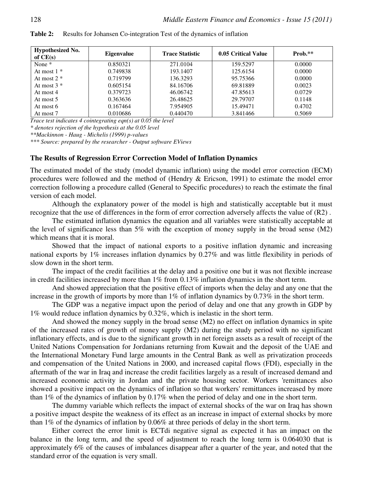| <b>Hypothesized No.</b><br>of $CE(s)$ | <b>Eigenvalue</b> | <b>Trace Statistic</b> | 0.05 Critical Value | $Prob.**$ |
|---------------------------------------|-------------------|------------------------|---------------------|-----------|
| None $*$                              | 0.850321          | 271.0104               | 159.5297            | 0.0000    |
| At most $1 *$                         | 0.749838          | 193.1407               | 125.6154            | 0.0000    |
| At most $2 *$                         | 0.719799          | 136.3293               | 95.75366            | 0.0000    |
| At most $3 *$                         | 0.605154          | 84.16706               | 69.81889            | 0.0023    |
| At most 4                             | 0.379723          | 46.06742               | 47.85613            | 0.0729    |
| At most 5                             | 0.363636          | 26.48625               | 29.79707            | 0.1148    |
| At most 6                             | 0.167464          | 7.954905               | 15.49471            | 0.4702    |
| At most 7                             | 0.010686          | 0.440470               | 3.841466            | 0.5069    |

**Table 2:** Results for Johansen Co-integration Test of the dynamics of inflation

*Trace test indicates 4 cointegrating eqn(s) at 0.05 the level* 

*\* denotes rejection of the hypothesis at the 0.05 level* 

*\*\*Mackinnon - Haug - Michelis (1999) p-values* 

*\*\*\* Source: prepared by the researcher - Output software EViews* 

### **The Results of Regression Error Correction Model of Inflation Dynamics**

The estimated model of the study (model dynamic inflation) using the model error correction (ECM) procedures were followed and the method of (Hendry & Ericson, 1991) to estimate the model error correction following a procedure called (General to Specific procedures) to reach the estimate the final version of each model.

Although the explanatory power of the model is high and statistically acceptable but it must recognize that the use of differences in the form of error correction adversely affects the value of (R2 ) .

The estimated inflation dynamics the equation and all variables were statistically acceptable at the level of significance less than 5% with the exception of money supply in the broad sense (M2) which means that it is moral.

Showed that the impact of national exports to a positive inflation dynamic and increasing national exports by 1% increases inflation dynamics by 0.27% and was little flexibility in periods of slow down in the short term.

The impact of the credit facilities at the delay and a positive one but it was not flexible increase in credit facilities increased by more than 1% from 0.13% inflation dynamics in the short term.

And showed appreciation that the positive effect of imports when the delay and any one that the increase in the growth of imports by more than 1% of inflation dynamics by 0.73% in the short term.

The GDP was a negative impact upon the period of delay and one that any growth in GDP by 1% would reduce inflation dynamics by 0.32%, which is inelastic in the short term.

And showed the money supply in the broad sense (M2) no effect on inflation dynamics in spite of the increased rates of growth of money supply (M2) during the study period with no significant inflationary effects, and is due to the significant growth in net foreign assets as a result of receipt of the United Nations Compensation for Jordanians returning from Kuwait and the deposit of the UAE and the International Monetary Fund large amounts in the Central Bank as well as privatization proceeds and compensation of the United Nations in 2000, and increased capital flows (FDI), especially in the aftermath of the war in Iraq and increase the credit facilities largely as a result of increased demand and increased economic activity in Jordan and the private housing sector. Workers 'remittances also showed a positive impact on the dynamics of inflation so that workers' remittances increased by more than 1% of the dynamics of inflation by 0.17% when the period of delay and one in the short term.

The dummy variable which reflects the impact of external shocks of the war on Iraq has shown a positive impact despite the weakness of its effect as an increase in impact of external shocks by more than 1% of the dynamics of inflation by 0.06% at three periods of delay in the short term.

Either correct the error limit is ECTdi negative signal as expected it has an impact on the balance in the long term, and the speed of adjustment to reach the long term is 0.064030 that is approximately 6% of the causes of imbalances disappear after a quarter of the year, and noted that the standard error of the equation is very small.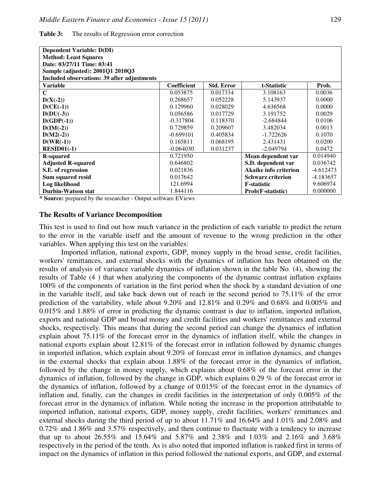| <b>Dependent Variable: D(DI)</b>                   |                    |                   |                          |             |
|----------------------------------------------------|--------------------|-------------------|--------------------------|-------------|
| <b>Method: Least Squares</b>                       |                    |                   |                          |             |
| Date: 03/27/11 Time: 03:41                         |                    |                   |                          |             |
| Sample (adjusted): 2001Q1 2010Q3                   |                    |                   |                          |             |
| <b>Included observations: 39 after adjustments</b> |                    |                   |                          |             |
| <b>Variable</b>                                    | <b>Coefficient</b> | <b>Std. Error</b> | t-Statistic              | Prob.       |
| C                                                  | 0.053875           | 0.017334          | 3.108163                 | 0.0036      |
| $D(X(-2))$                                         | 0.268657           | 0.052228          | 5.143937                 | 0.0000      |
| $D(CE(-1))$                                        | 0.129960           | 0.028029          | 4.636568                 | 0.0000      |
| $D(DU(-3))$                                        | 0.056586           | 0.017729          | 3.191752                 | 0.0029      |
| $D(GDP(-1))$                                       | $-0.317804$        | 0.118370          | $-2.684844$              | 0.0106      |
| $D(IM(-2))$                                        | 0.729859           | 0.209607          | 3.482034                 | 0.0013      |
| $D(M2(-2))$                                        | $-0.699101$        | 0.405834          | $-1.722626$              | 0.1070      |
| $D(WR(-1))$                                        | 0.165811           | 0.068195          | 2.431431                 | 0.0200      |
| $RESID01(-1)$                                      | $-0.064030$        | 0.031237          | $-2.049794$              | 0.0472      |
| <b>R-squared</b>                                   | 0.721950           |                   | Mean dependent var       | 0.014940    |
| <b>Adjusted R-squared</b>                          | 0.646802           |                   | S.D. dependent var       | 0.036742    |
| S.E. of regression                                 | 0.021836           |                   | Akaike info criterion    | $-4.612473$ |
| Sum squared resid                                  | 0.017642           |                   | <b>Schwarz criterion</b> | -4.183657   |
| Log likelihood                                     | 121.6994           |                   | <b>F</b> -statistic      | 9.606974    |
| <b>Durbin-Watson stat</b>                          | 1.844116           |                   | Prob(F-statistic)        | 0.000000    |

**Table 3:** The results of Regression error correction

**\* Source:** prepared by the researcher - Output software EViews

#### **The Results of Variance Decomposition**

This test is used to find out how much variance in the prediction of each variable to predict the return to the error in the variable itself and the amount of revenue to the wrong prediction in the other variables. When applying this test on the variables:

Imported inflation, national exports, GDP, money supply in the broad sense, credit facilities, workers' remittances, and external shocks with the dynamics of inflation has been obtained on the results of analysis of variance variable dynamics of inflation shown in the table No. (4), showing the results of Table (4 ) that when analyzing the components of the dynamic contrast inflation explains 100% of the components of variation in the first period when the shock by a standard deviation of one in the variable itself, and take back down out of reach in the second period to 75.11% of the error prediction of the variability, while about 9.20% and 12.81% and 0.29% and 0.68% and 0.005% and 0.015% and 1.88% of error in predicting the dynamic contrast is due to inflation, imported inflation, exports and national GDP and broad money and credit facilities and workers' remittances and external shocks, respectively. This means that during the second period can change the dynamics of inflation explain about 75.11% of the forecast error in the dynamics of inflation itself, while the changes in national exports explain about 12.81% of the forecast error in inflation followed by dynamic changes in imported inflation, which explain about 9.20% of forecast error in inflation dynamics, and changes in the external shocks that explain about 1.88% of the forecast error in the dynamics of inflation, followed by the change in money supply, which explains about 0.68% of the forecast error in the dynamics of inflation, followed by the change in GDP, which explains 0.29 % of the forecast error in the dynamics of inflation, followed by a change of 0.015% of the forecast error in the dynamics of inflation and, finally, can the changes in credit facilities in the interpretation of only 0.005% of the forecast error in the dynamics of inflation. While noting the increase in the proportion attributable to imported inflation, national exports, GDP, money supply, credit facilities, workers' remittances and external shocks during the third period of up to about 11.71% and 16.64% and 1.01% and 2.08% and 0.72% and 1.86% and 3.57% respectively, and then continue to fluctuate with a tendency to increase that up to about 26.55% and 15.64% and 5.87% and 2.38% and 1.03% and 2.16% and 3.68% respectively in the period of the tenth. As is also noted that imported inflation is ranked first in terms of impact on the dynamics of inflation in this period followed the national exports, and GDP, and external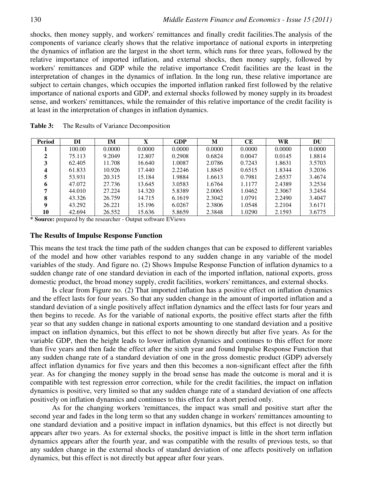shocks, then money supply, and workers' remittances and finally credit facilities.The analysis of the components of variance clearly shows that the relative importance of national exports in interpreting the dynamics of inflation are the largest in the short term, which runs for three years, followed by the relative importance of imported inflation, and external shocks, then money supply, followed by workers' remittances and GDP while the relative importance Credit facilities are the least in the interpretation of changes in the dynamics of inflation. In the long run, these relative importance are subject to certain changes, which occupies the imported inflation ranked first followed by the relative importance of national exports and GDP, and external shocks followed by money supply in its broadest sense, and workers' remittances, while the remainder of this relative importance of the credit facility is at least in the interpretation of changes in inflation dynamics.

| Period | DI     | IM     | X      | <b>GDP</b> | M      | CЕ     | WR     | DU     |
|--------|--------|--------|--------|------------|--------|--------|--------|--------|
|        | 100.00 | 0.0000 | 0.0000 | 0.0000     | 0.0000 | 0.0000 | 0.0000 | 0.0000 |
|        | 75.113 | 9.2049 | 12.807 | 0.2908     | 0.6824 | 0.0047 | 0.0145 | 1.8814 |
|        | 62.405 | 11.708 | 16.640 | 1.0087     | 2.0786 | 0.7243 | 1.8631 | 3.5703 |
| Δ      | 61.833 | 10.926 | 17.440 | 2.2246     | 1.8845 | 0.6515 | 1.8344 | 3.2036 |
|        | 53.931 | 20.315 | 15.184 | 1.9884     | 1.6613 | 0.7981 | 2.6537 | 3.4674 |
|        | 47.072 | 27.736 | 13.645 | 3.0583     | 1.6764 | 1.1177 | 2.4389 | 3.2534 |
|        | 44.010 | 27.224 | 14.320 | 5.8389     | 2.0065 | 1.0462 | 2.3067 | 3.2454 |
| 8      | 43.326 | 26.759 | 14.715 | 6.1619     | 2.3042 | 1.0791 | 2.2490 | 3.4047 |
| Q      | 43.292 | 26.221 | 15.196 | 6.0267     | 2.3806 | 1.0548 | 2.2104 | 3.6171 |
| 10     | 42.694 | 26.552 | 15.636 | 5.8659     | 2.3848 | 1.0290 | 2.1593 | 3.6775 |

| Table 3: |  | The Results of Variance Decomposition |  |
|----------|--|---------------------------------------|--|
|----------|--|---------------------------------------|--|

**\* Source:** prepared by the researcher - Output software EViews

#### **The Results of Impulse Response Function**

This means the test track the time path of the sudden changes that can be exposed to different variables of the model and how other variables respond to any sudden change in any variable of the model variables of the study. And figure no. (2) Shows Impulse Response Function of inflation dynamics to a sudden change rate of one standard deviation in each of the imported inflation, national exports, gross domestic product, the broad money supply, credit facilities, workers' remittances, and external shocks.

Is clear from Figure no. (2) That imported inflation has a positive effect on inflation dynamics and the effect lasts for four years. So that any sudden change in the amount of imported inflation and a standard deviation of a single positively affect inflation dynamics and the effect lasts for four years and then begins to recede. As for the variable of national exports, the positive effect starts after the fifth year so that any sudden change in national exports amounting to one standard deviation and a positive impact on inflation dynamics, but this effect to not be shown directly but after five years. As for the variable GDP, then the height leads to lower inflation dynamics and continues to this effect for more than five years and then fade the effect after the sixth year and found Impulse Response Function that any sudden change rate of a standard deviation of one in the gross domestic product (GDP) adversely affect inflation dynamics for five years and then this becomes a non-significant effect after the fifth year. As for changing the money supply in the broad sense has made the outcome is moral and it is compatible with test regression error correction, while for the credit facilities, the impact on inflation dynamics is positive, very limited so that any sudden change rate of a standard deviation of one affects positively on inflation dynamics and continues to this effect for a short period only.

As for the changing workers 'remittances, the impact was small and positive start after the second year and fades in the long term so that any sudden change in workers' remittances amounting to one standard deviation and a positive impact in inflation dynamics, but this effect is not directly but appears after two years. As for external shocks, the positive impact is little in the short term inflation dynamics appears after the fourth year, and was compatible with the results of previous tests, so that any sudden change in the external shocks of standard deviation of one affects positively on inflation dynamics, but this effect is not directly but appear after four years.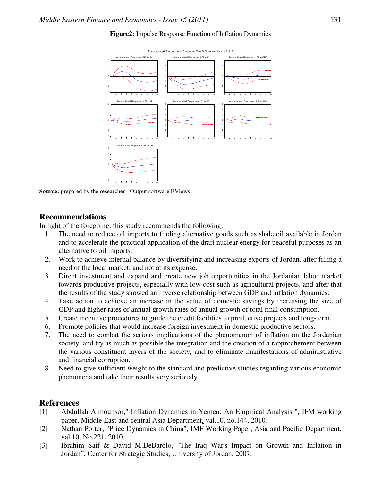

### **Figure2:** Impulse Response Function of Inflation Dynamics

**Source:** prepared by the researcher - Output software EViews

# **Recommendations**

In light of the foregoing, this study recommends the following:

- 1. The need to reduce oil imports to finding alternative goods such as shale oil available in Jordan and to accelerate the practical application of the draft nuclear energy for peaceful purposes as an alternative to oil imports.
- 2. Work to achieve internal balance by diversifying and increasing exports of Jordan, after filling a need of the local market, and not at its expense.
- 3. Direct investment and expand and create new job opportunities in the Jordanian labor market towards productive projects, especially with low cost such as agricultural projects, and after that the results of the study showed an inverse relationship between GDP and inflation dynamics.
- 4. Take action to achieve an increase in the value of domestic savings by increasing the size of GDP and higher rates of annual growth rates of annual growth of total final consumption.
- 5. Create incentive procedures to guide the credit facilities to productive projects and long-term.
- 6. Promote policies that would increase foreign investment in domestic productive sectors.
- 7. The need to combat the serious implications of the phenomenon of inflation on the Jordanian society, and try as much as possible the integration and the creation of a rapprochement between the various constituent layers of the society, and to eliminate manifestations of administrative and financial corruption.
- 8. Need to give sufficient weight to the standard and predictive studies regarding various economic phenomena and take their results very seriously.

# **References**

- [1] Abdullah Almounsor," Inflation Dynamics in Yemen: An Empirical Analysis ", IFM working paper, Middle East and central Asia Department, val.10, no.144, 2010.
- [2] Nathan Porter, "Price Dynamics in China", IMF Working Paper, Asia and Pacific Department, val.10, No.221, 2010.
- [3] Ibrahim Saif & David M.DeBarolo, "The Iraq War's Impact on Growth and Inflation in Jordan", Center for Strategic Studies, University of Jordan, 2007.